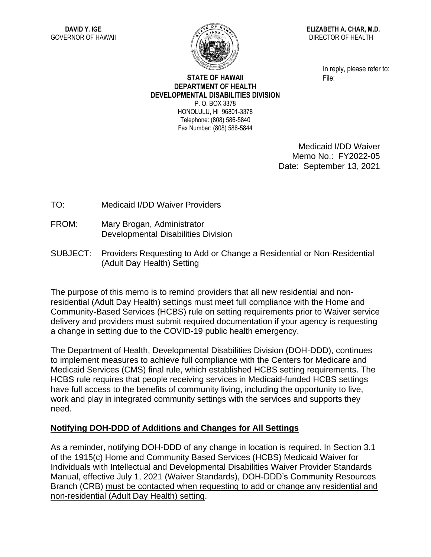

**ELIZABETH A. CHAR, M.D.** DIRECTOR OF HEALTH

> In reply, please refer to: File:

## **STATE OF HAWAII DEPARTMENT OF HEALTH DEVELOPMENTAL DISABILITIES DIVISION** P. O. BOX 3378

HONOLULU, HI 96801-3378 Telephone: (808) 586-5840 Fax Number: (808) 586-5844

> Medicaid I/DD Waiver Memo No.: FY2022-05 Date: September 13, 2021

- TO: Medicaid I/DD Waiver Providers
- FROM: Mary Brogan, Administrator Developmental Disabilities Division
- SUBJECT: Providers Requesting to Add or Change a Residential or Non-Residential (Adult Day Health) Setting

The purpose of this memo is to remind providers that all new residential and nonresidential (Adult Day Health) settings must meet full compliance with the Home and Community-Based Services (HCBS) rule on setting requirements prior to Waiver service delivery and providers must submit required documentation if your agency is requesting a change in setting due to the COVID-19 public health emergency.

The Department of Health, Developmental Disabilities Division (DOH-DDD), continues to implement measures to achieve full compliance with the Centers for Medicare and Medicaid Services (CMS) final rule, which established HCBS setting requirements. The HCBS rule requires that people receiving services in Medicaid-funded HCBS settings have full access to the benefits of community living, including the opportunity to live, work and play in integrated community settings with the services and supports they need.

## **Notifying DOH-DDD of Additions and Changes for All Settings**

As a reminder, notifying DOH-DDD of any change in location is required. In Section 3.1 of the 1915(c) Home and Community Based Services (HCBS) Medicaid Waiver for Individuals with Intellectual and Developmental Disabilities Waiver Provider Standards Manual, effective July 1, 2021 (Waiver Standards), DOH-DDD's Community Resources Branch (CRB) must be contacted when requesting to add or change any residential and non-residential (Adult Day Health) setting.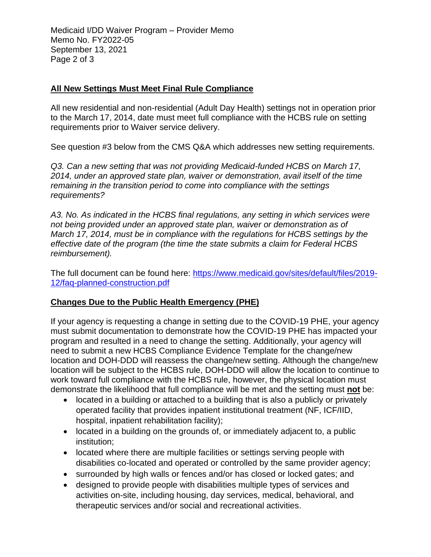Medicaid I/DD Waiver Program – Provider Memo Memo No. FY2022-05 September 13, 2021 Page 2 of 3

## **All New Settings Must Meet Final Rule Compliance**

All new residential and non-residential (Adult Day Health) settings not in operation prior to the March 17, 2014, date must meet full compliance with the HCBS rule on setting requirements prior to Waiver service delivery.

See question #3 below from the CMS Q&A which addresses new setting requirements.

*Q3. Can a new setting that was not providing Medicaid-funded HCBS on March 17, 2014, under an approved state plan, waiver or demonstration, avail itself of the time remaining in the transition period to come into compliance with the settings requirements?* 

*A3. No. As indicated in the HCBS final regulations, any setting in which services were not being provided under an approved state plan, waiver or demonstration as of March 17, 2014, must be in compliance with the regulations for HCBS settings by the effective date of the program (the time the state submits a claim for Federal HCBS reimbursement).*

The full document can be found here: [https://www.medicaid.gov/sites/default/files/2019-](https://www.medicaid.gov/sites/default/files/2019-12/faq-planned-construction.pdf) [12/faq-planned-construction.pdf](https://www.medicaid.gov/sites/default/files/2019-12/faq-planned-construction.pdf)

## **Changes Due to the Public Health Emergency (PHE)**

If your agency is requesting a change in setting due to the COVID-19 PHE, your agency must submit documentation to demonstrate how the COVID-19 PHE has impacted your program and resulted in a need to change the setting. Additionally, your agency will need to submit a new HCBS Compliance Evidence Template for the change/new location and DOH-DDD will reassess the change/new setting. Although the change/new location will be subject to the HCBS rule, DOH-DDD will allow the location to continue to work toward full compliance with the HCBS rule, however, the physical location must demonstrate the likelihood that full compliance will be met and the setting must **not** be:

- located in a building or attached to a building that is also a publicly or privately operated facility that provides inpatient institutional treatment (NF, ICF/IID, hospital, inpatient rehabilitation facility);
- located in a building on the grounds of, or immediately adjacent to, a public institution;
- located where there are multiple facilities or settings serving people with disabilities co-located and operated or controlled by the same provider agency;
- surrounded by high walls or fences and/or has closed or locked gates; and
- designed to provide people with disabilities multiple types of services and activities on-site, including housing, day services, medical, behavioral, and therapeutic services and/or social and recreational activities.